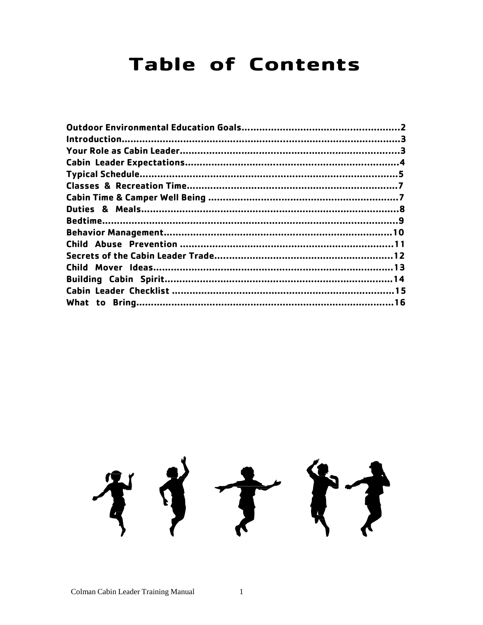### **Table of Contents**

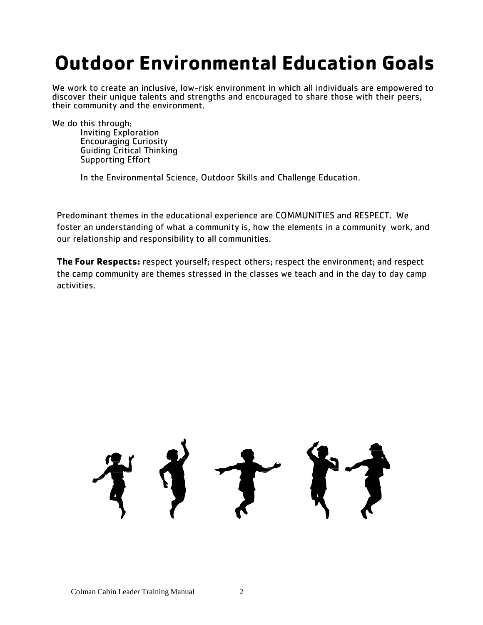### **Outdoor Environmental Education Goals**

We work to create an inclusive, low-risk environment in which all individuals are empowered to discover their unique talents and strengths and encouraged to share those with their peers, their community and the environment.

We do this through:

Inviting Exploration Encouraging Curiosity Guiding Critical Thinking Supporting Effort

In the Environmental Science, Outdoor Skills and Challenge Education.

Predominant themes in the educational experience are COMMUNITIES and RESPECT. We foster an understanding of what a community is, how the elements in a community work, and our relationship and responsibility to all communities.

**The Four Respects:** respect yourself; respect others; respect the environment; and respect the camp community are themes stressed in the classes we teach and in the day to day camp activities.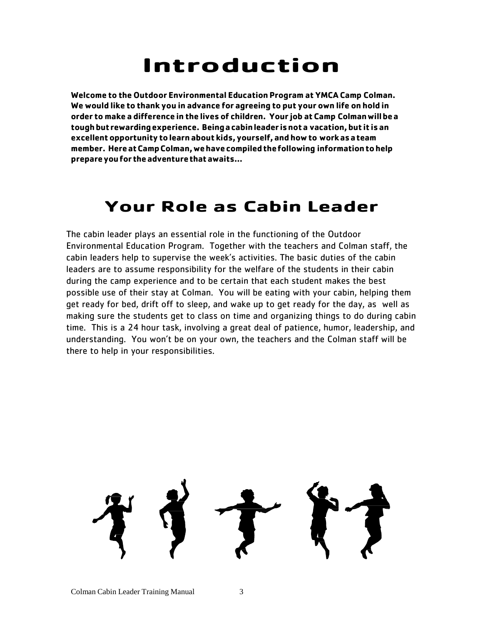## **Introduction**

**Welcome to the Outdoor Environmental Education Program at YMCA Camp Colman. We would like to thank you in advance for agreeing to put your own life on hold in order to make a difference in the lives of children. Your job at Camp Colmanwillbea toughbut rewardingexperience. Beingacabinleader isnota vacation,but it is an excellentopportunity tolearn about kids, yourself, and howto workasateam member. HereatCampColman,wehavecompiledthefollowing informationtohelp prepareyoufor theadventurethatawaits…**

### **Your Role as Cabin Leader**

The cabin leader plays an essential role in the functioning of the Outdoor Environmental Education Program. Together with the teachers and Colman staff, the cabin leaders help to supervise the week's activities. The basic duties of the cabin leaders are to assume responsibility for the welfare of the students in their cabin during the camp experience and to be certain that each student makes the best possible use of their stay at Colman. You will be eating with your cabin, helping them get ready for bed, drift off to sleep, and wake up to get ready for the day, as well as making sure the students get to class on time and organizing things to do during cabin time. This is a 24 hour task, involving a great deal of patience, humor, leadership, and understanding. You won't be on your own, the teachers and the Colman staff will be there to help in your responsibilities.

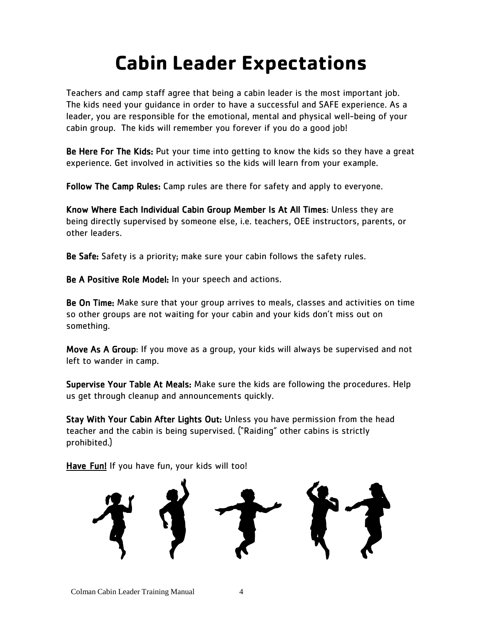## **Cabin Leader Expectations**

Teachers and camp staff agree that being a cabin leader is the most important job. The kids need your guidance in order to have a successful and SAFE experience. As a leader, you are responsible for the emotional, mental and physical well-being of your cabin group. The kids will remember you forever if you do a good job!

Be Here For The Kids: Put your time into getting to know the kids so they have a great experience. Get involved in activities so the kids will learn from your example.

Follow The Camp Rules: Camp rules are there for safety and apply to everyone.

Know Where Each Individual Cabin Group Member Is At All Times: Unless they are being directly supervised by someone else, i.e. teachers, OEE instructors, parents, or other leaders.

Be Safe: Safety is a priority; make sure your cabin follows the safety rules.

Be A Positive Role Model: In your speech and actions.

Be On Time: Make sure that your group arrives to meals, classes and activities on time so other groups are not waiting for your cabin and your kids don't miss out on something.

Move As A Group: If you move as a group, your kids will always be supervised and not left to wander in camp.

Supervise Your Table At Meals: Make sure the kids are following the procedures. Help us get through cleanup and announcements quickly.

Stay With Your Cabin After Lights Out: Unless you have permission from the head teacher and the cabin is being supervised. ("Raiding" other cabins is strictly prohibited.)

Have Fun! If you have fun, your kids will too!

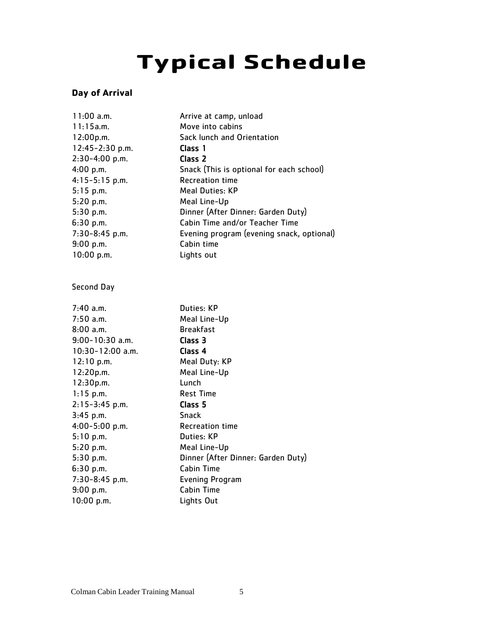# **Typical Schedule**

#### **Day of Arrival**

| $11:00$ a.m.     | Arrive at camp, unload                    |
|------------------|-------------------------------------------|
| 11:15a.m.        | Move into cabins                          |
| 12:00p.m.        | Sack lunch and Orientation                |
| 12:45-2:30 p.m.  | Class 1                                   |
| 2:30-4:00 p.m.   | Class 2                                   |
| 4:00 p.m.        | Snack (This is optional for each school)  |
| $4:15-5:15$ p.m. | <b>Recreation time</b>                    |
| $5:15$ p.m.      | <b>Meal Duties: KP</b>                    |
| 5:20 p.m.        | Meal Line-Up                              |
| 5:30 p.m.        | Dinner (After Dinner: Garden Duty)        |
| 6:30 p.m.        | Cabin Time and/or Teacher Time            |
| 7:30-8:45 p.m.   | Evening program (evening snack, optional) |
| 9:00 p.m.        | Cabin time                                |
| 10:00 p.m.       | Lights out                                |
|                  |                                           |
| Second Day       |                                           |
|                  |                                           |
| $7:40$ a.m.      | Duties: KP                                |
| $7:50$ a.m.      | Meal Line-Up                              |
| $8:00$ a.m.      | <b>Breakfast</b>                          |
| 9:00-10:30 a.m.  | Class 3                                   |
| 10:30-12:00 a.m. | Class 4                                   |
| 12:10 p.m.       | Meal Duty: KP                             |
| 12:20p.m.        | Meal Line-Up                              |
| 12:30p.m.        | Lunch                                     |
| $1:15$ p.m.      | <b>Rest Time</b>                          |
| 2:15-3:45 p.m.   | Class <sub>5</sub>                        |
| $3:45$ p.m.      | <b>Snack</b>                              |
| 4:00-5:00 p.m.   | <b>Recreation time</b>                    |
| 5:10 p.m.        | Duties: KP                                |
| 5:20 p.m.        | Meal Line-Up                              |
| 5:30 p.m.        | Dinner (After Dinner: Garden Duty)        |
| 6:30 p.m.        | <b>Cabin Time</b>                         |
| 7:30-8:45 p.m.   | <b>Evening Program</b>                    |
| 9:00 p.m.        | <b>Cabin Time</b>                         |
| 10:00 p.m.       | Lights Out                                |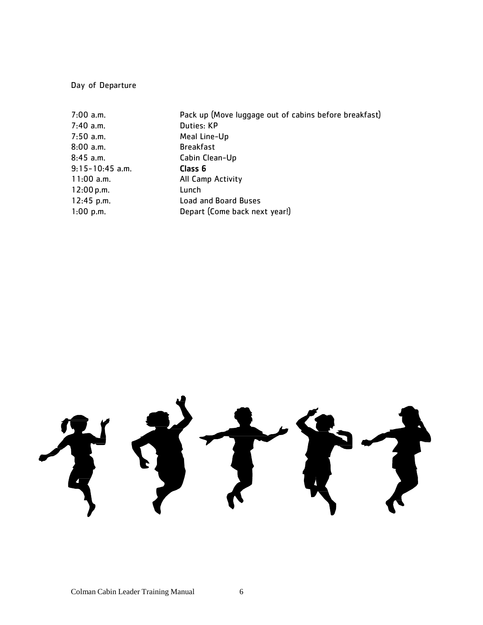Day of Departure

| Pack up (Move luggage out of cabins before breakfast) |
|-------------------------------------------------------|
| Duties: KP                                            |
| Meal Line-Up                                          |
| <b>Breakfast</b>                                      |
| Cabin Clean-Up                                        |
| Class 6                                               |
| All Camp Activity                                     |
| Lunch                                                 |
| <b>Load and Board Buses</b>                           |
| Depart (Come back next year!)                         |
|                                                       |

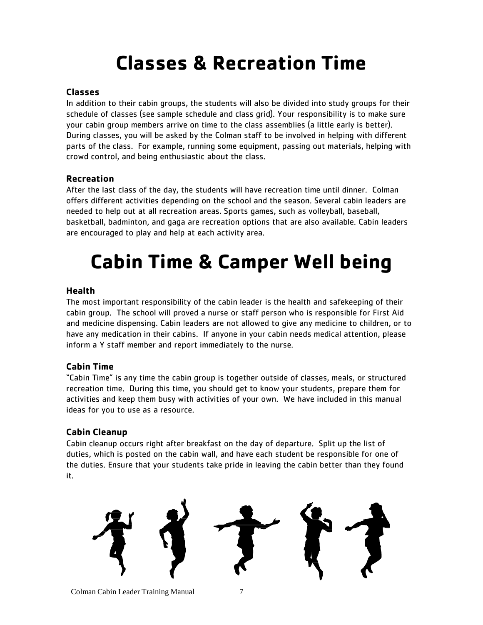### **Classes & Recreation Time**

#### **Classes**

In addition to their cabin groups, the students will also be divided into study groups for their schedule of classes (see sample schedule and class grid). Your responsibility is to make sure your cabin group members arrive on time to the class assemblies (a little early is better). During classes, you will be asked by the Colman staff to be involved in helping with different parts of the class. For example, running some equipment, passing out materials, helping with crowd control, and being enthusiastic about the class.

#### **Recreation**

After the last class of the day, the students will have recreation time until dinner. Colman offers different activities depending on the school and the season. Several cabin leaders are needed to help out at all recreation areas. Sports games, such as volleyball, baseball, basketball, badminton, and gaga are recreation options that are also available. Cabin leaders are encouraged to play and help at each activity area.

## **Cabin Time & Camper Well being**

#### **Health**

The most important responsibility of the cabin leader is the health and safekeeping of their cabin group. The school will proved a nurse or staff person who is responsible for First Aid and medicine dispensing. Cabin leaders are not allowed to give any medicine to children, or to have any medication in their cabins. If anyone in your cabin needs medical attention, please inform a Y staff member and report immediately to the nurse.

#### **Cabin Time**

"Cabin Time" is any time the cabin group is together outside of classes, meals, or structured recreation time. During this time, you should get to know your students, prepare them for activities and keep them busy with activities of your own. We have included in this manual ideas for you to use as a resource.

#### **Cabin Cleanup**

Cabin cleanup occurs right after breakfast on the day of departure. Split up the list of duties, which is posted on the cabin wall, and have each student be responsible for one of the duties. Ensure that your students take pride in leaving the cabin better than they found it.

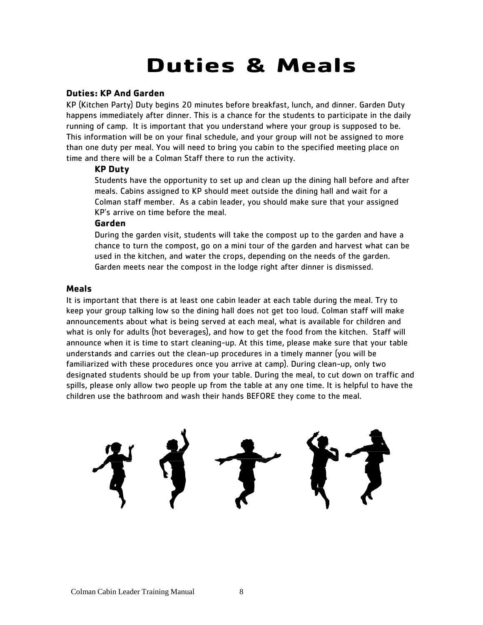## **Duties & Meals**

#### **Duties: KP And Garden**

KP (Kitchen Party) Duty begins 20 minutes before breakfast, lunch, and dinner. Garden Duty happens immediately after dinner. This is a chance for the students to participate in the daily running of camp. It is important that you understand where your group is supposed to be. This information will be on your final schedule, and your group will not be assigned to more than one duty per meal. You will need to bring you cabin to the specified meeting place on time and there will be a Colman Staff there to run the activity.

#### **KP Duty**

Students have the opportunity to set up and clean up the dining hall before and after meals. Cabins assigned to KP should meet outside the dining hall and wait for a Colman staff member. As a cabin leader, you should make sure that your assigned KP's arrive on time before the meal.

#### **Garden**

During the garden visit, students will take the compost up to the garden and have a chance to turn the compost, go on a mini tour of the garden and harvest what can be used in the kitchen, and water the crops, depending on the needs of the garden. Garden meets near the compost in the lodge right after dinner is dismissed.

#### **Meals**

It is important that there is at least one cabin leader at each table during the meal. Try to keep your group talking low so the dining hall does not get too loud. Colman staff will make announcements about what is being served at each meal, what is available for children and what is only for adults (hot beverages), and how to get the food from the kitchen. Staff will announce when it is time to start cleaning-up. At this time, please make sure that your table understands and carries out the clean-up procedures in a timely manner (you will be familiarized with these procedures once you arrive at camp). During clean-up, only two designated students should be up from your table. During the meal, to cut down on traffic and spills, please only allow two people up from the table at any one time. It is helpful to have the children use the bathroom and wash their hands BEFORE they come to the meal.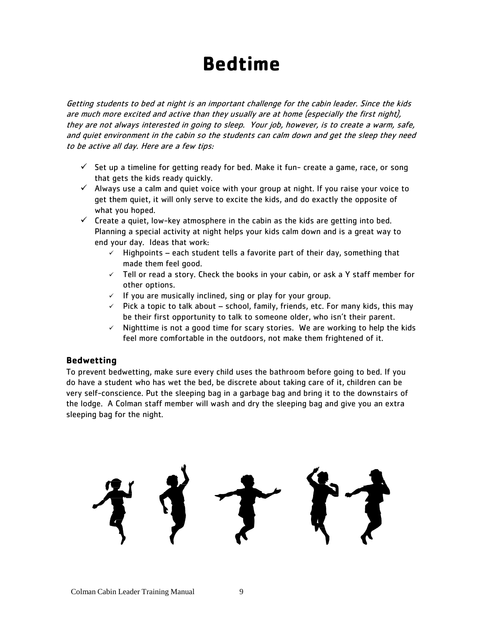### **Bedtime**

Getting students to bed at night is an important challenge for the cabin leader. Since the kids are much more excited and active than they usually are at home (especially the first night), they are not always interested in going to sleep. Your job, however, is to create a warm, safe, and quiet environment in the cabin so the students can calm down and get the sleep they need to be active all day. Here are a few tips:

- $\checkmark$  Set up a timeline for getting ready for bed. Make it fun-create a game, race, or song that gets the kids ready quickly.
- $\checkmark$  Always use a calm and quiet voice with your group at night. If you raise your voice to get them quiet, it will only serve to excite the kids, and do exactly the opposite of what you hoped.
- $\checkmark$  Create a quiet, low-key atmosphere in the cabin as the kids are getting into bed. Planning a special activity at night helps your kids calm down and is a great way to end your day. Ideas that work:
	- $\checkmark$  Highpoints each student tells a favorite part of their day, something that made them feel good.
	- $\checkmark$  Tell or read a story. Check the books in your cabin, or ask a Y staff member for other options.
	- $\checkmark$  If you are musically inclined, sing or play for your group.
	- $\checkmark$  Pick a topic to talk about school, family, friends, etc. For many kids, this may be their first opportunity to talk to someone older, who isn't their parent.
	- $\checkmark$  Nighttime is not a good time for scary stories. We are working to help the kids feel more comfortable in the outdoors, not make them frightened of it.

#### **Bedwetting**

To prevent bedwetting, make sure every child uses the bathroom before going to bed. If you do have a student who has wet the bed, be discrete about taking care of it, children can be very self-conscience. Put the sleeping bag in a garbage bag and bring it to the downstairs of the lodge. A Colman staff member will wash and dry the sleeping bag and give you an extra sleeping bag for the night.

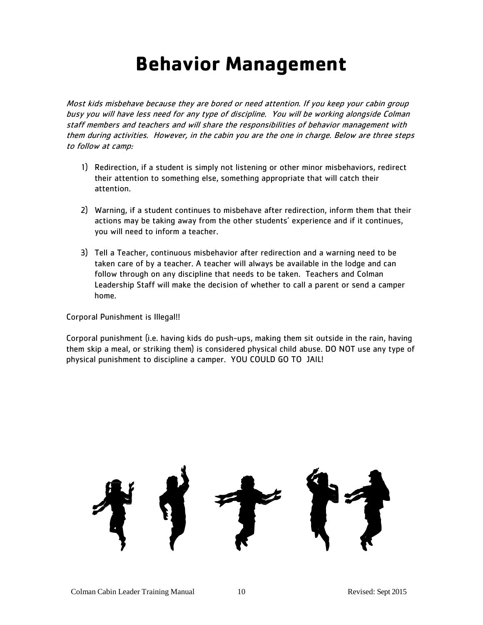### **Behavior Management**

Most kids misbehave because they are bored or need attention. If you keep your cabin group busy you will have less need for any type of discipline. You will be working alongside Colman staff members and teachers and will share the responsibilities of behavior management with them during activities. However, in the cabin you are the one in charge. Below are three steps to follow at camp:

- 1) Redirection, if a student is simply not listening or other minor misbehaviors, redirect their attention to something else, something appropriate that will catch their attention.
- 2) Warning, if a student continues to misbehave after redirection, inform them that their actions may be taking away from the other students' experience and if it continues, you will need to inform a teacher.
- 3) Tell a Teacher, continuous misbehavior after redirection and a warning need to be taken care of by a teacher. A teacher will always be available in the lodge and can follow through on any discipline that needs to be taken. Teachers and Colman Leadership Staff will make the decision of whether to call a parent or send a camper home.

Corporal Punishment is Illegal!!

Corporal punishment (i.e. having kids do push-ups, making them sit outside in the rain, having them skip a meal, or striking them) is considered physical child abuse. DO NOT use any type of physical punishment to discipline a camper. YOU COULD GO TO JAIL!

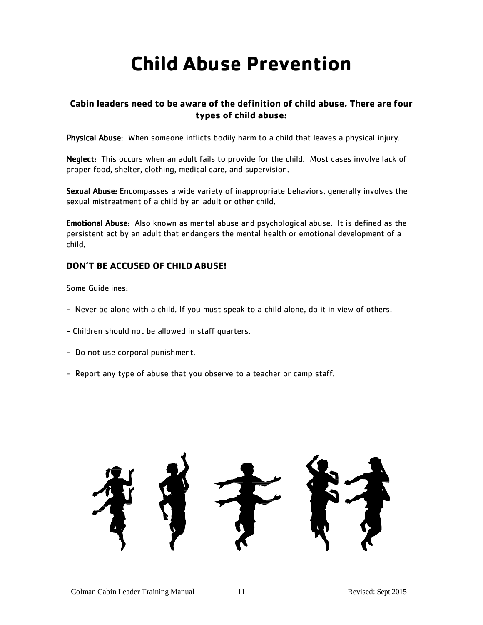### **Child Abuse Prevention**

#### **Cabin leaders need to be aware of the definition of child abuse. There are four types of child abuse:**

Physical Abuse: When someone inflicts bodily harm to a child that leaves a physical injury.

Neglect: This occurs when an adult fails to provide for the child. Most cases involve lack of proper food, shelter, clothing, medical care, and supervision.

Sexual Abuse: Encompasses a wide variety of inappropriate behaviors, generally involves the sexual mistreatment of a child by an adult or other child.

Emotional Abuse: Also known as mental abuse and psychological abuse. It is defined as the persistent act by an adult that endangers the mental health or emotional development of a child.

#### **DON'T BE ACCUSED OF CHILD ABUSE!**

Some Guidelines:

- Never be alone with a child. If you must speak to a child alone, do it in view of others.
- Children should not be allowed in staff quarters.
- Do not use corporal punishment.
- Report any type of abuse that you observe to a teacher or camp staff.

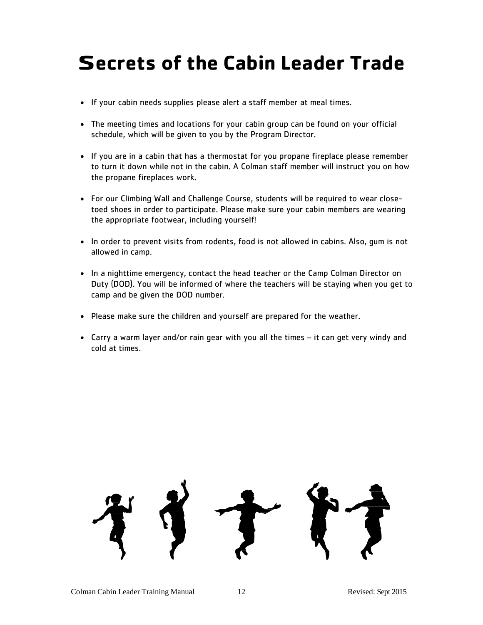### **Secrets of the Cabin Leader Trade**

- If your cabin needs supplies please alert a staff member at meal times.
- The meeting times and locations for your cabin group can be found on your official schedule, which will be given to you by the Program Director.
- If you are in a cabin that has a thermostat for you propane fireplace please remember to turn it down while not in the cabin. A Colman staff member will instruct you on how the propane fireplaces work.
- For our Climbing Wall and Challenge Course, students will be required to wear closetoed shoes in order to participate. Please make sure your cabin members are wearing the appropriate footwear, including yourself!
- In order to prevent visits from rodents, food is not allowed in cabins. Also, gum is not allowed in camp.
- In a nighttime emergency, contact the head teacher or the Camp Colman Director on Duty (DOD). You will be informed of where the teachers will be staying when you get to camp and be given the DOD number.
- Please make sure the children and yourself are prepared for the weather.
- Carry a warm layer and/or rain gear with you all the times it can get very windy and cold at times.

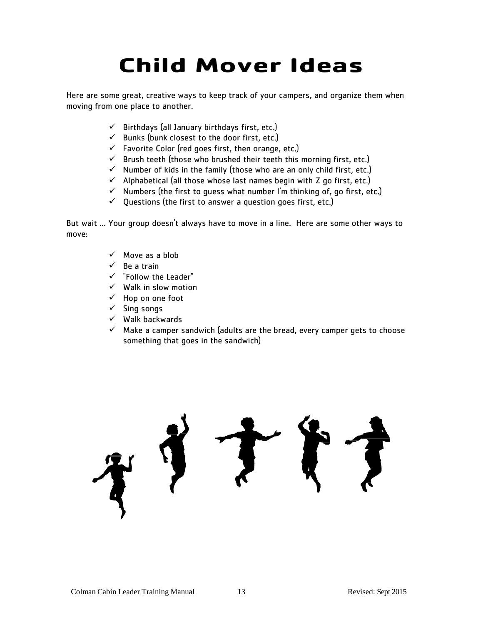# **Child Mover Ideas**

Here are some great, creative ways to keep track of your campers, and organize them when moving from one place to another.

- $\checkmark$  Birthdays (all January birthdays first, etc.)
- $\checkmark$  Bunks (bunk closest to the door first, etc.)
- $\checkmark$  Favorite Color (red goes first, then orange, etc.)
- $\checkmark$  Brush teeth (those who brushed their teeth this morning first, etc.)
- $\checkmark$  Number of kids in the family (those who are an only child first, etc.)
- $\checkmark$  Alphabetical (all those whose last names begin with Z go first, etc.)
- $\checkmark$  Numbers (the first to guess what number I'm thinking of, go first, etc.)
- $\checkmark$  Questions (the first to answer a question goes first, etc.)

But wait ... Your group doesn't always have to move in a line. Here are some other ways to move:

- $\checkmark$  Move as a blob
- $\checkmark$  Be a train
- $\checkmark$  "Follow the Leader"
- $\checkmark$  Walk in slow motion
- $\checkmark$  Hop on one foot
- $\checkmark$  Sing songs
- $\checkmark$  Walk backwards
- $\checkmark$  Make a camper sandwich (adults are the bread, every camper gets to choose something that goes in the sandwich)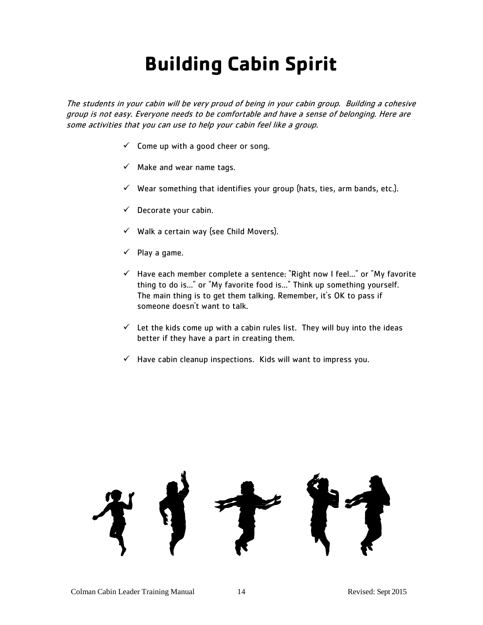## **Building Cabin Spirit**

The students in your cabin will be very proud of being in your cabin group. Building a cohesive group is not easy. Everyone needs to be comfortable and have a sense of belonging. Here are some activities that you can use to help your cabin feel like a group.

- $\checkmark$  Come up with a good cheer or song.
- $\checkmark$  Make and wear name tags.
- $\checkmark$  Wear something that identifies your group (hats, ties, arm bands, etc.).
- $\checkmark$  Decorate your cabin.
- $\checkmark$  Walk a certain way (see Child Movers).
- $\checkmark$  Play a game.
- $\checkmark$  Have each member complete a sentence: "Right now I feel..." or "My favorite thing to do is..." or "My favorite food is..." Think up something yourself. The main thing is to get them talking. Remember, it's OK to pass if someone doesn't want to talk.
- $\checkmark$  Let the kids come up with a cabin rules list. They will buy into the ideas better if they have a part in creating them.
- $\checkmark$  Have cabin cleanup inspections. Kids will want to impress you.

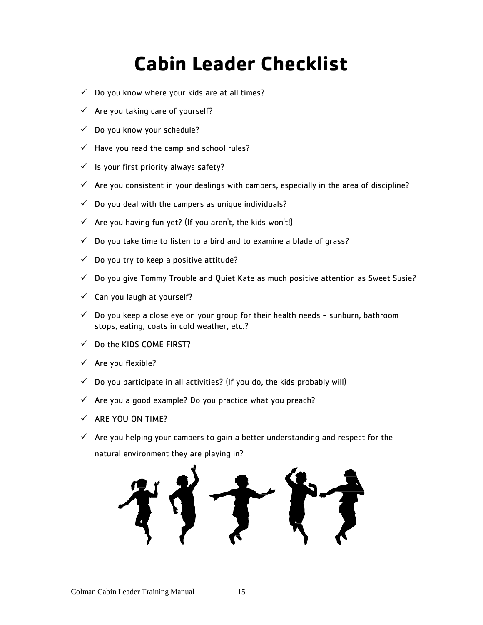## **Cabin Leader Checklist**

- $\checkmark$  Do you know where your kids are at all times?
- $\checkmark$  Are you taking care of yourself?
- $\checkmark$  Do you know your schedule?
- $\checkmark$  Have you read the camp and school rules?
- $\checkmark$  Is your first priority always safety?
- $\checkmark$  Are you consistent in your dealings with campers, especially in the area of discipline?
- $\checkmark$  Do you deal with the campers as unique individuals?
- $\checkmark$  Are you having fun yet? (If you aren't, the kids won't!)
- $\checkmark$  Do you take time to listen to a bird and to examine a blade of grass?
- $\checkmark$  Do you try to keep a positive attitude?
- $\checkmark$  Do you give Tommy Trouble and Quiet Kate as much positive attention as Sweet Susie?
- $\checkmark$  Can you laugh at yourself?
- $\checkmark$  Do you keep a close eye on your group for their health needs sunburn, bathroom stops, eating, coats in cold weather, etc.?
- $\checkmark$  Do the KIDS COME FIRST?
- $\checkmark$  Are you flexible?
- $\checkmark$  Do you participate in all activities? (If you do, the kids probably will)
- $\checkmark$  Are you a good example? Do you practice what you preach?
- $\checkmark$  ARE YOU ON TIME?
- $\checkmark$  Are you helping your campers to gain a better understanding and respect for the natural environment they are playing in?